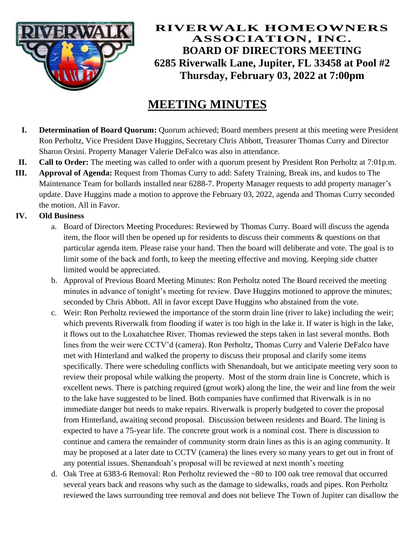

## **RIVERWALK HOMEOWNERS ASSOCIATION, INC. BOARD OF DIRECTORS MEETING 6285 Riverwalk Lane, Jupiter, FL 33458 at Pool #2 Thursday, February 03, 2022 at 7:00pm**

# **MEETING MINUTES**

- **I. Determination of Board Quorum:** Quorum achieved; Board members present at this meeting were President Ron Perholtz, Vice President Dave Huggins, Secretary Chris Abbott, Treasurer Thomas Curry and Director Sharon Orsini. Property Manager Valerie DeFalco was also in attendance.
- **II. Call to Order:** The meeting was called to order with a quorum present by President Ron Perholtz at 7:01p.m.
- **III. Approval of Agenda:** Request from Thomas Curry to add: Safety Training, Break ins, and kudos to The Maintenance Team for bollards installed near 6288-7. Property Manager requests to add property manager's update. Dave Huggins made a motion to approve the February 03, 2022, agenda and Thomas Curry seconded the motion. All in Favor.

### **IV. Old Business**

- a. Board of Directors Meeting Procedures: Reviewed by Thomas Curry. Board will discuss the agenda item, the floor will then be opened up for residents to discuss their comments & questions on that particular agenda item. Please raise your hand. Then the board will deliberate and vote. The goal is to limit some of the back and forth, to keep the meeting effective and moving. Keeping side chatter limited would be appreciated.
- b. Approval of Previous Board Meeting Minutes: Ron Perholtz noted The Board received the meeting minutes in advance of tonight's meeting for review. Dave Huggins motioned to approve the minutes; seconded by Chris Abbott. All in favor except Dave Huggins who abstained from the vote.
- c. Weir: Ron Perholtz reviewed the importance of the storm drain line (river to lake) including the weir; which prevents Riverwalk from flooding if water is too high in the lake it. If water is high in the lake, it flows out to the Loxahatchee River. Thomas reviewed the steps taken in last several months. Both lines from the weir were CCTV'd (camera). Ron Perholtz, Thomas Curry and Valerie DeFalco have met with Hinterland and walked the property to discuss their proposal and clarify some items specifically. There were scheduling conflicts with Shenandoah, but we anticipate meeting very soon to review their proposal while walking the property. Most of the storm drain line is Concrete, which is excellent news. There is patching required (grout work) along the line, the weir and line from the weir to the lake have suggested to be lined. Both companies have confirmed that Riverwalk is in no immediate danger but needs to make repairs. Riverwalk is properly budgeted to cover the proposal from Hinterland, awaiting second proposal. Discussion between residents and Board. The lining is expected to have a 75-year life. The concrete grout work is a nominal cost. There is discussion to continue and camera the remainder of community storm drain lines as this is an aging community. It may be proposed at a later date to CCTV (camera) the lines every so many years to get out in front of any potential issues. Shenandoah's proposal will be reviewed at next month's meeting
- d. Oak Tree at 6383-6 Removal: Ron Perholtz reviewed the ~80 to 100 oak tree removal that occurred several years back and reasons why such as the damage to sidewalks, roads and pipes. Ron Perholtz reviewed the laws surrounding tree removal and does not believe The Town of Jupiter can disallow the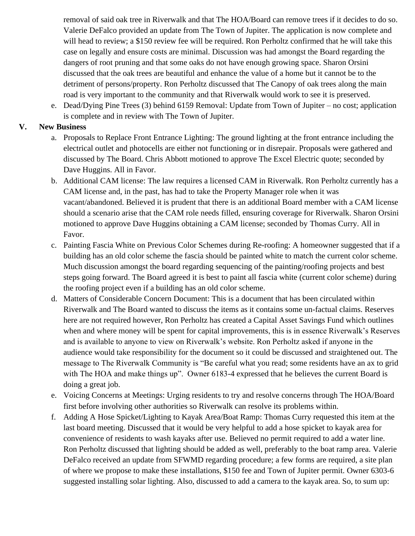removal of said oak tree in Riverwalk and that The HOA/Board can remove trees if it decides to do so. Valerie DeFalco provided an update from The Town of Jupiter. The application is now complete and will head to review; a \$150 review fee will be required. Ron Perholtz confirmed that he will take this case on legally and ensure costs are minimal. Discussion was had amongst the Board regarding the dangers of root pruning and that some oaks do not have enough growing space. Sharon Orsini discussed that the oak trees are beautiful and enhance the value of a home but it cannot be to the detriment of persons/property. Ron Perholtz discussed that The Canopy of oak trees along the main road is very important to the community and that Riverwalk would work to see it is preserved.

e. Dead/Dying Pine Trees (3) behind 6159 Removal: Update from Town of Jupiter – no cost; application is complete and in review with The Town of Jupiter.

#### **V. New Business**

- a. Proposals to Replace Front Entrance Lighting: The ground lighting at the front entrance including the electrical outlet and photocells are either not functioning or in disrepair. Proposals were gathered and discussed by The Board. Chris Abbott motioned to approve The Excel Electric quote; seconded by Dave Huggins. All in Favor.
- b. Additional CAM license: The law requires a licensed CAM in Riverwalk. Ron Perholtz currently has a CAM license and, in the past, has had to take the Property Manager role when it was vacant/abandoned. Believed it is prudent that there is an additional Board member with a CAM license should a scenario arise that the CAM role needs filled, ensuring coverage for Riverwalk. Sharon Orsini motioned to approve Dave Huggins obtaining a CAM license; seconded by Thomas Curry. All in Favor.
- c. Painting Fascia White on Previous Color Schemes during Re-roofing: A homeowner suggested that if a building has an old color scheme the fascia should be painted white to match the current color scheme. Much discussion amongst the board regarding sequencing of the painting/roofing projects and best steps going forward. The Board agreed it is best to paint all fascia white (current color scheme) during the roofing project even if a building has an old color scheme.
- d. Matters of Considerable Concern Document: This is a document that has been circulated within Riverwalk and The Board wanted to discuss the items as it contains some un-factual claims. Reserves here are not required however, Ron Perholtz has created a Capital Asset Savings Fund which outlines when and where money will be spent for capital improvements, this is in essence Riverwalk's Reserves and is available to anyone to view on Riverwalk's website. Ron Perholtz asked if anyone in the audience would take responsibility for the document so it could be discussed and straightened out. The message to The Riverwalk Community is "Be careful what you read; some residents have an ax to grid with The HOA and make things up". Owner 6183-4 expressed that he believes the current Board is doing a great job.
- e. Voicing Concerns at Meetings: Urging residents to try and resolve concerns through The HOA/Board first before involving other authorities so Riverwalk can resolve its problems within.
- f. Adding A Hose Spicket/Lighting to Kayak Area/Boat Ramp: Thomas Curry requested this item at the last board meeting. Discussed that it would be very helpful to add a hose spicket to kayak area for convenience of residents to wash kayaks after use. Believed no permit required to add a water line. Ron Perholtz discussed that lighting should be added as well, preferably to the boat ramp area. Valerie DeFalco received an update from SFWMD regarding procedure; a few forms are required, a site plan of where we propose to make these installations, \$150 fee and Town of Jupiter permit. Owner 6303-6 suggested installing solar lighting. Also, discussed to add a camera to the kayak area. So, to sum up: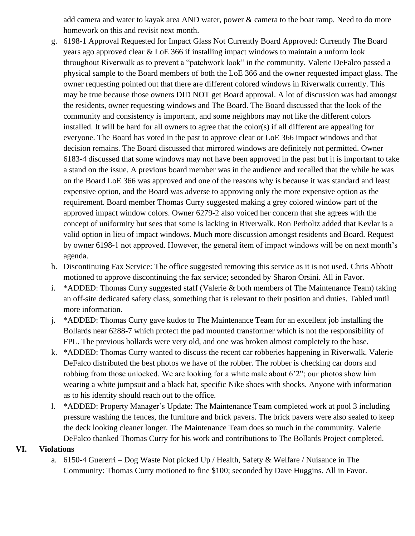add camera and water to kayak area AND water, power & camera to the boat ramp. Need to do more homework on this and revisit next month.

- g. 6198-1 Approval Requested for Impact Glass Not Currently Board Approved: Currently The Board years ago approved clear & LoE 366 if installing impact windows to maintain a unform look throughout Riverwalk as to prevent a "patchwork look" in the community. Valerie DeFalco passed a physical sample to the Board members of both the LoE 366 and the owner requested impact glass. The owner requesting pointed out that there are different colored windows in Riverwalk currently. This may be true because those owners DID NOT get Board approval. A lot of discussion was had amongst the residents, owner requesting windows and The Board. The Board discussed that the look of the community and consistency is important, and some neighbors may not like the different colors installed. It will be hard for all owners to agree that the color(s) if all different are appealing for everyone. The Board has voted in the past to approve clear or LoE 366 impact windows and that decision remains. The Board discussed that mirrored windows are definitely not permitted. Owner 6183-4 discussed that some windows may not have been approved in the past but it is important to take a stand on the issue. A previous board member was in the audience and recalled that the while he was on the Board LoE 366 was approved and one of the reasons why is because it was standard and least expensive option, and the Board was adverse to approving only the more expensive option as the requirement. Board member Thomas Curry suggested making a grey colored window part of the approved impact window colors. Owner 6279-2 also voiced her concern that she agrees with the concept of uniformity but sees that some is lacking in Riverwalk. Ron Perholtz added that Kevlar is a valid option in lieu of impact windows. Much more discussion amongst residents and Board. Request by owner 6198-1 not approved. However, the general item of impact windows will be on next month's agenda.
- h. Discontinuing Fax Service: The office suggested removing this service as it is not used. Chris Abbott motioned to approve discontinuing the fax service; seconded by Sharon Orsini. All in Favor.
- i. \*ADDED: Thomas Curry suggested staff (Valerie & both members of The Maintenance Team) taking an off-site dedicated safety class, something that is relevant to their position and duties. Tabled until more information.
- j. \*ADDED: Thomas Curry gave kudos to The Maintenance Team for an excellent job installing the Bollards near 6288-7 which protect the pad mounted transformer which is not the responsibility of FPL. The previous bollards were very old, and one was broken almost completely to the base.
- k. \*ADDED: Thomas Curry wanted to discuss the recent car robberies happening in Riverwalk. Valerie DeFalco distributed the best photos we have of the robber. The robber is checking car doors and robbing from those unlocked. We are looking for a white male about 6'2"; our photos show him wearing a white jumpsuit and a black hat, specific Nike shoes with shocks. Anyone with information as to his identity should reach out to the office.
- l. \*ADDED: Property Manager's Update: The Maintenance Team completed work at pool 3 including pressure washing the fences, the furniture and brick pavers. The brick pavers were also sealed to keep the deck looking cleaner longer. The Maintenance Team does so much in the community. Valerie DeFalco thanked Thomas Curry for his work and contributions to The Bollards Project completed.

#### **VI. Violations**

a. 6150-4 Guererri – Dog Waste Not picked Up / Health, Safety & Welfare / Nuisance in The Community: Thomas Curry motioned to fine \$100; seconded by Dave Huggins. All in Favor.